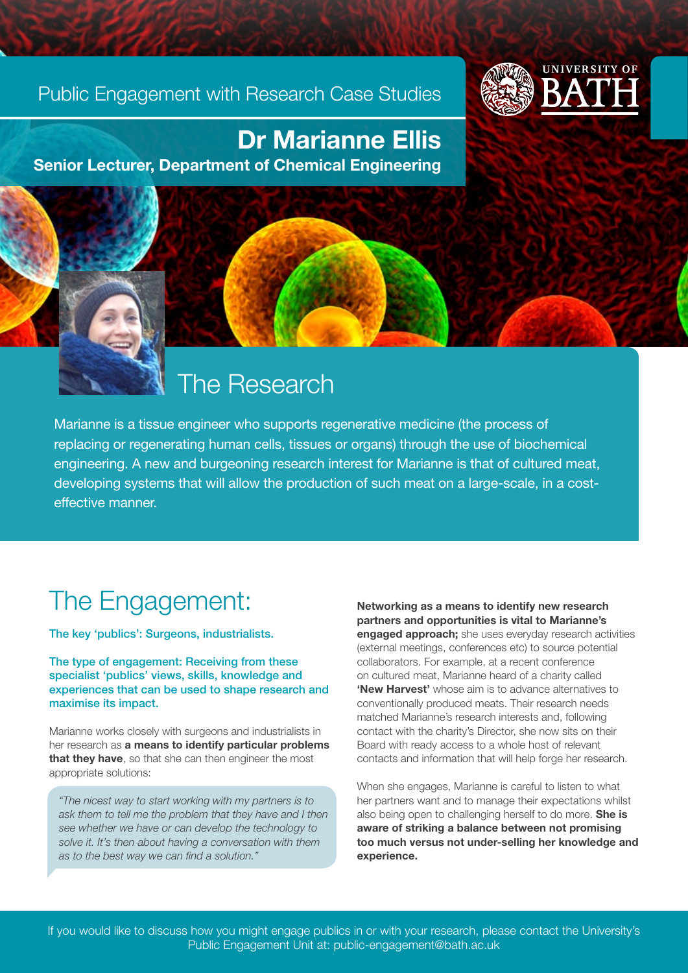#### Public Engagement with Research Case Studies



## Dr Marianne Ellis

Senior Lecturer, Department of Chemical Engineering

# The Research

Marianne is a tissue engineer who supports regenerative medicine (the process of replacing or regenerating human cells, tissues or organs) through the use of biochemical engineering. A new and burgeoning research interest for Marianne is that of cultured meat, developing systems that will allow the production of such meat on a large-scale, in a costeffective manner.

## The Engagement:

The key 'publics': Surgeons, industrialists.

The type of engagement: Receiving from these specialist 'publics' views, skills, knowledge and experiences that can be used to shape research and maximise its impact.

Marianne works closely with surgeons and industrialists in her research as a means to identify particular problems that they have, so that she can then engineer the most appropriate solutions:

*"The nicest way to start working with my partners is to ask them to tell me the problem that they have and I then see whether we have or can develop the technology to solve it. It's then about having a conversation with them as to the best way we can find a solution."*

Networking as a means to identify new research partners and opportunities is vital to Marianne's engaged approach; she uses everyday research activities (external meetings, conferences etc) to source potential collaborators. For example, at a recent conference on cultured meat, Marianne heard of a charity called 'New Harvest' whose aim is to advance alternatives to conventionally produced meats. Their research needs matched Marianne's research interests and, following contact with the charity's Director, she now sits on their Board with ready access to a whole host of relevant contacts and information that will help forge her research.

When she engages, Marianne is careful to listen to what her partners want and to manage their expectations whilst also being open to challenging herself to do more. **She is** aware of striking a balance between not promising too much versus not under-selling her knowledge and experience.